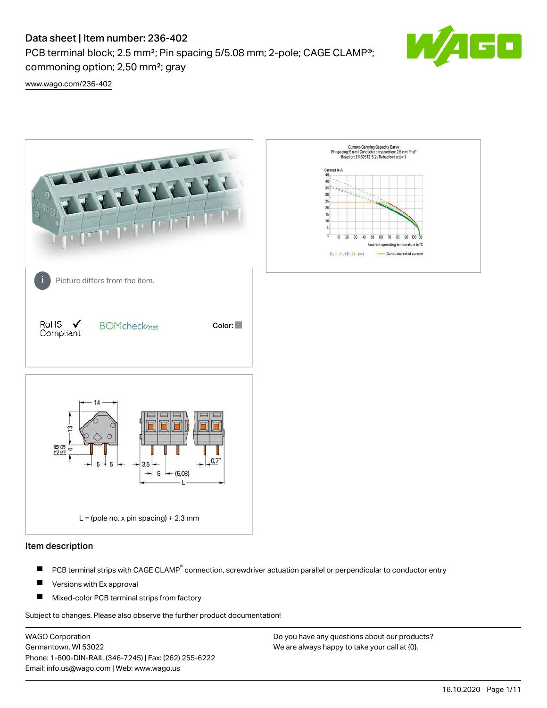PCB terminal block; 2.5 mm<sup>2</sup>; Pin spacing 5/5.08 mm; 2-pole; CAGE CLAMP<sup>®</sup>; commoning option; 2,50 mm²; gray



[www.wago.com/236-402](http://www.wago.com/236-402)



#### Item description

- PCB terminal strips with CAGE CLAMP<sup>®</sup> connection, screwdriver actuation parallel or perpendicular to conductor entry П
- П Versions with Ex approval
- П Mixed-color PCB terminal strips from factory

Subject to changes. Please also observe the further product documentation!

WAGO Corporation Germantown, WI 53022 Phone: 1-800-DIN-RAIL (346-7245) | Fax: (262) 255-6222 Email: info.us@wago.com | Web: www.wago.us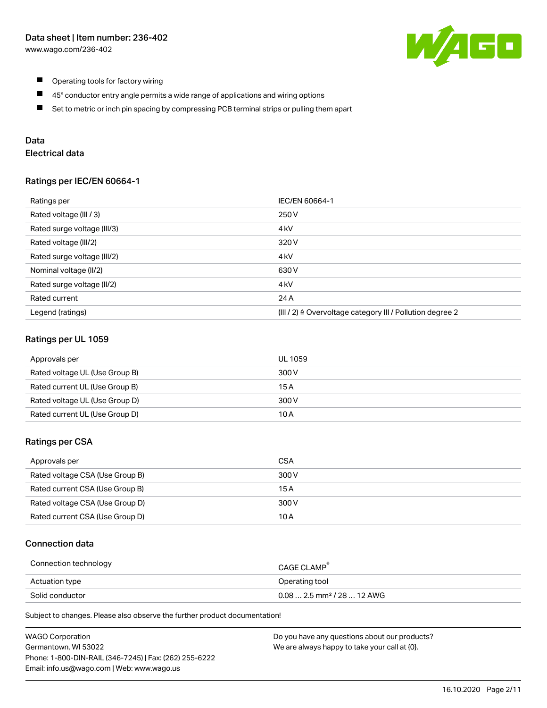

- $\blacksquare$ Operating tools for factory wiring
- $\blacksquare$ 45° conductor entry angle permits a wide range of applications and wiring options
- $\blacksquare$ Set to metric or inch pin spacing by compressing PCB terminal strips or pulling them apart

## Data

## Electrical data

#### Ratings per IEC/EN 60664-1

| Ratings per                 | IEC/EN 60664-1                                                        |
|-----------------------------|-----------------------------------------------------------------------|
| Rated voltage (III / 3)     | 250 V                                                                 |
| Rated surge voltage (III/3) | 4 <sub>k</sub> V                                                      |
| Rated voltage (III/2)       | 320 V                                                                 |
| Rated surge voltage (III/2) | 4 <sub>k</sub> V                                                      |
| Nominal voltage (II/2)      | 630 V                                                                 |
| Rated surge voltage (II/2)  | 4 <sub>k</sub> V                                                      |
| Rated current               | 24 A                                                                  |
| Legend (ratings)            | $(III / 2)$ $\triangle$ Overvoltage category III / Pollution degree 2 |

## Ratings per UL 1059

| Approvals per                  | UL 1059 |
|--------------------------------|---------|
| Rated voltage UL (Use Group B) | 300 V   |
| Rated current UL (Use Group B) | 15 A    |
| Rated voltage UL (Use Group D) | 300 V   |
| Rated current UL (Use Group D) | 10 A    |

### Ratings per CSA

| Approvals per                   | CSA   |
|---------------------------------|-------|
| Rated voltage CSA (Use Group B) | 300 V |
| Rated current CSA (Use Group B) | 15 A  |
| Rated voltage CSA (Use Group D) | 300 V |
| Rated current CSA (Use Group D) | 10 A  |

## Connection data

| Connection technology | CAGE CLAMP <sup>®</sup>                 |
|-----------------------|-----------------------------------------|
| Actuation type        | Operating tool                          |
| Solid conductor       | $0.08$ 2.5 mm <sup>2</sup> / 28  12 AWG |

Subject to changes. Please also observe the further product documentation!

| <b>WAGO Corporation</b>                                | Do you have any questions about our products? |
|--------------------------------------------------------|-----------------------------------------------|
| Germantown, WI 53022                                   | We are always happy to take your call at {0}. |
| Phone: 1-800-DIN-RAIL (346-7245)   Fax: (262) 255-6222 |                                               |
| Email: info.us@wago.com   Web: www.wago.us             |                                               |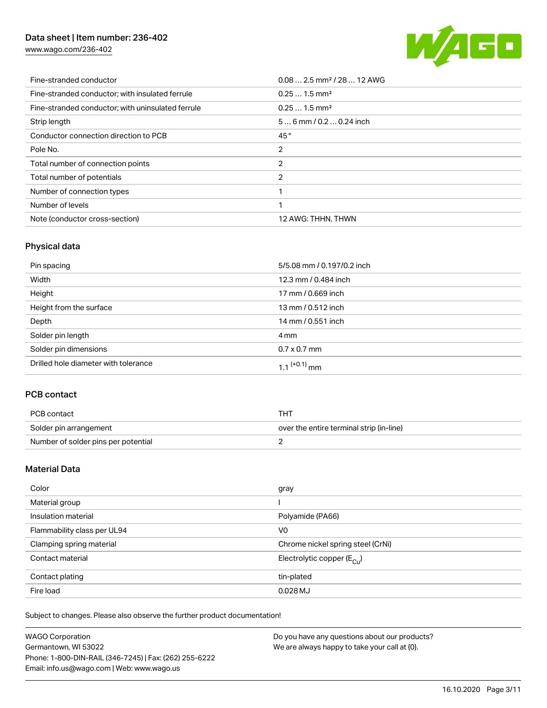[www.wago.com/236-402](http://www.wago.com/236-402)



| Fine-stranded conductor                           | $0.08$ 2.5 mm <sup>2</sup> / 28  12 AWG |
|---------------------------------------------------|-----------------------------------------|
| Fine-stranded conductor; with insulated ferrule   | $0.251.5$ mm <sup>2</sup>               |
| Fine-stranded conductor; with uninsulated ferrule | $0.251.5$ mm <sup>2</sup>               |
| Strip length                                      | $56$ mm $/ 0.20.24$ inch                |
| Conductor connection direction to PCB             | 45°                                     |
| Pole No.                                          | 2                                       |
| Total number of connection points                 | 2                                       |
| Total number of potentials                        | 2                                       |
| Number of connection types                        |                                         |
| Number of levels                                  | 1                                       |
| Note (conductor cross-section)                    | 12 AWG: THHN, THWN                      |

## Physical data

| Pin spacing                          | 5/5.08 mm / 0.197/0.2 inch |
|--------------------------------------|----------------------------|
| Width                                | 12.3 mm / 0.484 inch       |
| Height                               | 17 mm / 0.669 inch         |
| Height from the surface              | 13 mm / 0.512 inch         |
| Depth                                | 14 mm / 0.551 inch         |
| Solder pin length                    | 4 mm                       |
| Solder pin dimensions                | $0.7 \times 0.7$ mm        |
| Drilled hole diameter with tolerance | $1.1$ <sup>(+0.1)</sup> mm |

## PCB contact

| PCB contact                         | тнт                                      |
|-------------------------------------|------------------------------------------|
| Solder pin arrangement              | over the entire terminal strip (in-line) |
| Number of solder pins per potential |                                          |

## Material Data

| Color                       | gray                                   |
|-----------------------------|----------------------------------------|
| Material group              |                                        |
| Insulation material         | Polyamide (PA66)                       |
| Flammability class per UL94 | V <sub>0</sub>                         |
| Clamping spring material    | Chrome nickel spring steel (CrNi)      |
| Contact material            | Electrolytic copper $(E_{\text{CII}})$ |
| Contact plating             | tin-plated                             |
| Fire load                   | $0.028$ MJ                             |

Subject to changes. Please also observe the further product documentation!

| <b>WAGO Corporation</b>                                | Do you have any questions about our products? |
|--------------------------------------------------------|-----------------------------------------------|
| Germantown, WI 53022                                   | We are always happy to take your call at {0}. |
| Phone: 1-800-DIN-RAIL (346-7245)   Fax: (262) 255-6222 |                                               |
| Email: info.us@wago.com   Web: www.wago.us             |                                               |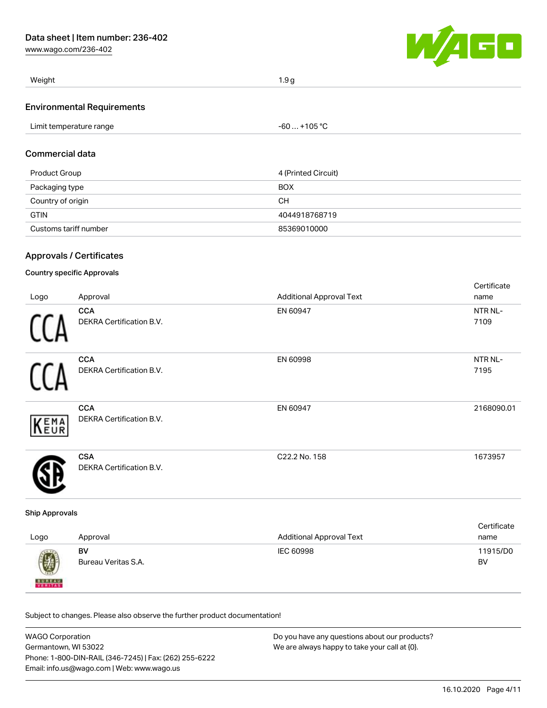[www.wago.com/236-402](http://www.wago.com/236-402)



| Weight                     | 1.9 <sub>q</sub> |
|----------------------------|------------------|
| Environmental Pequirements |                  |

#### Environmental Requirements

| Limit temperature range | $-60+105 °C$ |
|-------------------------|--------------|
|                         |              |

## Commercial data

| Product Group         | 4 (Printed Circuit) |
|-----------------------|---------------------|
| Packaging type        | <b>BOX</b>          |
| Country of origin     | CН                  |
| <b>GTIN</b>           | 4044918768719       |
| Customs tariff number | 85369010000         |

## Approvals / Certificates

## Country specific Approvals

|      |                                 |                                 | Certificate |
|------|---------------------------------|---------------------------------|-------------|
| Logo | Approval                        | <b>Additional Approval Text</b> | name        |
|      | <b>CCA</b>                      | EN 60947                        | NTR NL-     |
|      | <b>DEKRA Certification B.V.</b> |                                 | 7109        |
|      | <b>CCA</b>                      | EN 60998                        | NTR NL-     |
|      | DEKRA Certification B.V.        |                                 | 7195        |
|      | <b>CCA</b>                      | EN 60947                        | 2168090.01  |
| KEMA | DEKRA Certification B.V.        |                                 |             |
|      | <b>CSA</b>                      | C22.2 No. 158                   | 1673957     |
|      | DEKRA Certification B.V.        |                                 |             |

#### Ship Approvals

| Logo          | Approval                  | <b>Additional Approval Text</b> | Certificate<br>name |
|---------------|---------------------------|---------------------------------|---------------------|
|               | BV<br>Bureau Veritas S.A. | IEC 60998                       | 11915/D0<br>BV      |
| <b>BUREAU</b> |                           |                                 |                     |

Subject to changes. Please also observe the further product documentation!

| <b>WAGO Corporation</b>                                | Do you have any questions about our products? |
|--------------------------------------------------------|-----------------------------------------------|
| Germantown, WI 53022                                   | We are always happy to take your call at {0}. |
| Phone: 1-800-DIN-RAIL (346-7245)   Fax: (262) 255-6222 |                                               |
| Email: info.us@wago.com   Web: www.wago.us             |                                               |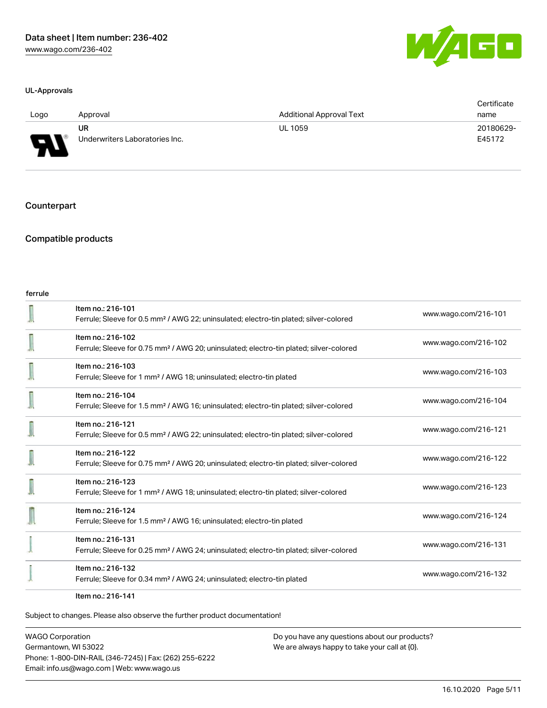#### UL-Approvals

| a l<br>-4 | an Barat |  |
|-----------|----------|--|
|           |          |  |

| Logo                                                 | Approval                             | <b>Additional Approval Text</b> | Certificate<br>name |
|------------------------------------------------------|--------------------------------------|---------------------------------|---------------------|
| $\overline{\phantom{0}}$<br>$\overline{\phantom{a}}$ | UR<br>Underwriters Laboratories Inc. | <b>UL 1059</b>                  | 20180629-<br>E45172 |

#### **Counterpart**

## Compatible products

#### ferrule

| Item no.: 216-101<br>Ferrule; Sleeve for 0.5 mm <sup>2</sup> / AWG 22; uninsulated; electro-tin plated; silver-colored  | www.wago.com/216-101 |
|-------------------------------------------------------------------------------------------------------------------------|----------------------|
| Item no.: 216-102<br>Ferrule; Sleeve for 0.75 mm <sup>2</sup> / AWG 20; uninsulated; electro-tin plated; silver-colored | www.wago.com/216-102 |
| Item no.: 216-103<br>Ferrule; Sleeve for 1 mm <sup>2</sup> / AWG 18; uninsulated; electro-tin plated                    | www.wago.com/216-103 |
| Item no.: 216-104<br>Ferrule; Sleeve for 1.5 mm <sup>2</sup> / AWG 16; uninsulated; electro-tin plated; silver-colored  | www.wago.com/216-104 |
| Item no.: 216-121<br>Ferrule; Sleeve for 0.5 mm <sup>2</sup> / AWG 22; uninsulated; electro-tin plated; silver-colored  | www.wago.com/216-121 |
| Item no.: 216-122<br>Ferrule; Sleeve for 0.75 mm <sup>2</sup> / AWG 20; uninsulated; electro-tin plated; silver-colored | www.wago.com/216-122 |
| Item no.: 216-123<br>Ferrule; Sleeve for 1 mm <sup>2</sup> / AWG 18; uninsulated; electro-tin plated; silver-colored    | www.wago.com/216-123 |
| Item no.: 216-124<br>Ferrule; Sleeve for 1.5 mm <sup>2</sup> / AWG 16; uninsulated; electro-tin plated                  | www.wago.com/216-124 |
| Item no.: 216-131<br>Ferrule; Sleeve for 0.25 mm <sup>2</sup> / AWG 24; uninsulated; electro-tin plated; silver-colored | www.wago.com/216-131 |
| Item no.: 216-132<br>Ferrule; Sleeve for 0.34 mm <sup>2</sup> / AWG 24; uninsulated; electro-tin plated                 | www.wago.com/216-132 |
| Item no.: 216-141                                                                                                       |                      |

Subject to changes. Please also observe the further product documentation!

WAGO Corporation Germantown, WI 53022 Phone: 1-800-DIN-RAIL (346-7245) | Fax: (262) 255-6222 Email: info.us@wago.com | Web: www.wago.us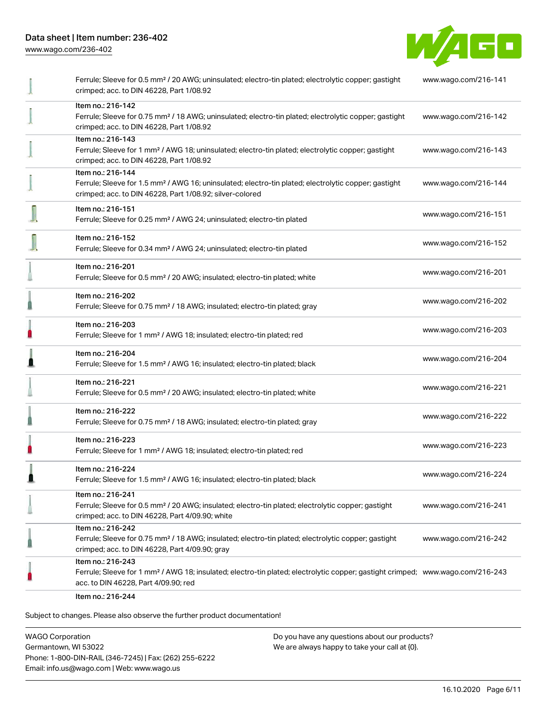[www.wago.com/236-402](http://www.wago.com/236-402)



| Ferrule; Sleeve for 0.5 mm <sup>2</sup> / 20 AWG; uninsulated; electro-tin plated; electrolytic copper; gastight<br>crimped; acc. to DIN 46228, Part 1/08.92                                            | www.wago.com/216-141 |
|---------------------------------------------------------------------------------------------------------------------------------------------------------------------------------------------------------|----------------------|
| Item no.: 216-142<br>Ferrule; Sleeve for 0.75 mm <sup>2</sup> / 18 AWG; uninsulated; electro-tin plated; electrolytic copper; gastight<br>crimped; acc. to DIN 46228, Part 1/08.92                      | www.wago.com/216-142 |
| Item no.: 216-143<br>Ferrule; Sleeve for 1 mm <sup>2</sup> / AWG 18; uninsulated; electro-tin plated; electrolytic copper; gastight<br>crimped; acc. to DIN 46228, Part 1/08.92                         | www.wago.com/216-143 |
| Item no.: 216-144<br>Ferrule; Sleeve for 1.5 mm <sup>2</sup> / AWG 16; uninsulated; electro-tin plated; electrolytic copper; gastight<br>crimped; acc. to DIN 46228, Part 1/08.92; silver-colored       | www.wago.com/216-144 |
| Item no.: 216-151<br>Ferrule; Sleeve for 0.25 mm <sup>2</sup> / AWG 24; uninsulated; electro-tin plated                                                                                                 | www.wago.com/216-151 |
| Item no.: 216-152<br>Ferrule; Sleeve for 0.34 mm <sup>2</sup> / AWG 24; uninsulated; electro-tin plated                                                                                                 | www.wago.com/216-152 |
| Item no.: 216-201<br>Ferrule; Sleeve for 0.5 mm <sup>2</sup> / 20 AWG; insulated; electro-tin plated; white                                                                                             | www.wago.com/216-201 |
| Item no.: 216-202<br>Ferrule; Sleeve for 0.75 mm <sup>2</sup> / 18 AWG; insulated; electro-tin plated; gray                                                                                             | www.wago.com/216-202 |
| Item no.: 216-203<br>Ferrule; Sleeve for 1 mm <sup>2</sup> / AWG 18; insulated; electro-tin plated; red                                                                                                 | www.wago.com/216-203 |
| Item no.: 216-204<br>Ferrule; Sleeve for 1.5 mm <sup>2</sup> / AWG 16; insulated; electro-tin plated; black                                                                                             | www.wago.com/216-204 |
| Item no.: 216-221<br>Ferrule; Sleeve for 0.5 mm <sup>2</sup> / 20 AWG; insulated; electro-tin plated; white                                                                                             | www.wago.com/216-221 |
| Item no.: 216-222<br>Ferrule; Sleeve for 0.75 mm <sup>2</sup> / 18 AWG; insulated; electro-tin plated; gray                                                                                             | www.wago.com/216-222 |
| Item no.: 216-223<br>Ferrule; Sleeve for 1 mm <sup>2</sup> / AWG 18; insulated; electro-tin plated; red                                                                                                 | www.wago.com/216-223 |
| Item no.: 216-224<br>Ferrule; Sleeve for 1.5 mm <sup>2</sup> / AWG 16; insulated; electro-tin plated; black                                                                                             | www.wago.com/216-224 |
| Item no.: 216-241<br>Ferrule; Sleeve for 0.5 mm <sup>2</sup> / 20 AWG; insulated; electro-tin plated; electrolytic copper; gastight<br>crimped; acc. to DIN 46228, Part 4/09.90; white                  | www.wago.com/216-241 |
| Item no.: 216-242<br>Ferrule; Sleeve for 0.75 mm <sup>2</sup> / 18 AWG; insulated; electro-tin plated; electrolytic copper; gastight<br>crimped; acc. to DIN 46228, Part 4/09.90; gray                  | www.wago.com/216-242 |
| Item no.: 216-243<br>Ferrule; Sleeve for 1 mm <sup>2</sup> / AWG 18; insulated; electro-tin plated; electrolytic copper; gastight crimped; www.wago.com/216-243<br>acc. to DIN 46228, Part 4/09.90; red |                      |
| $Hcm$ $n0$ , $216.244$                                                                                                                                                                                  |                      |

Item no.: 216-244

Subject to changes. Please also observe the further product documentation!

WAGO Corporation Germantown, WI 53022 Phone: 1-800-DIN-RAIL (346-7245) | Fax: (262) 255-6222 Email: info.us@wago.com | Web: www.wago.us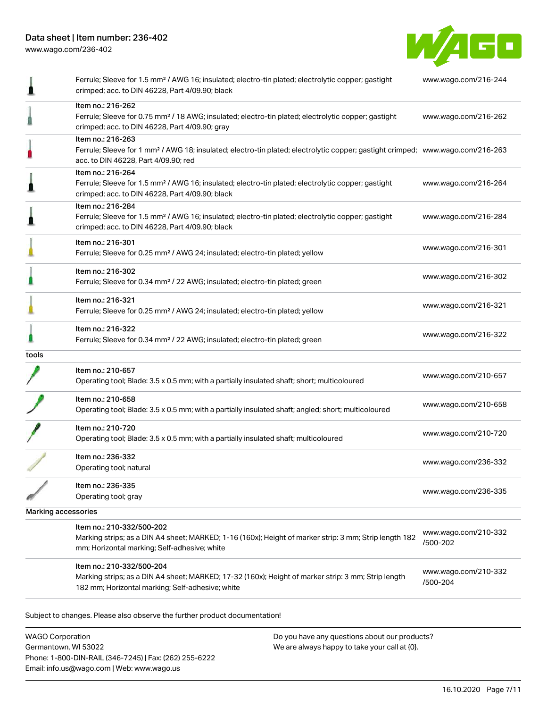[www.wago.com/236-402](http://www.wago.com/236-402)



|                     | Ferrule; Sleeve for 1.5 mm <sup>2</sup> / AWG 16; insulated; electro-tin plated; electrolytic copper; gastight<br>crimped; acc. to DIN 46228, Part 4/09.90; black                                       | www.wago.com/216-244             |
|---------------------|---------------------------------------------------------------------------------------------------------------------------------------------------------------------------------------------------------|----------------------------------|
|                     | Item no.: 216-262<br>Ferrule; Sleeve for 0.75 mm <sup>2</sup> / 18 AWG; insulated; electro-tin plated; electrolytic copper; gastight<br>crimped; acc. to DIN 46228, Part 4/09.90; gray                  | www.wago.com/216-262             |
|                     | Item no.: 216-263<br>Ferrule; Sleeve for 1 mm <sup>2</sup> / AWG 18; insulated; electro-tin plated; electrolytic copper; gastight crimped; www.wago.com/216-263<br>acc. to DIN 46228, Part 4/09.90; red |                                  |
|                     | Item no.: 216-264<br>Ferrule; Sleeve for 1.5 mm <sup>2</sup> / AWG 16; insulated; electro-tin plated; electrolytic copper; gastight<br>crimped; acc. to DIN 46228, Part 4/09.90; black                  | www.wago.com/216-264             |
|                     | Item no.: 216-284<br>Ferrule; Sleeve for 1.5 mm <sup>2</sup> / AWG 16; insulated; electro-tin plated; electrolytic copper; gastight<br>crimped; acc. to DIN 46228, Part 4/09.90; black                  | www.wago.com/216-284             |
|                     | Item no.: 216-301<br>Ferrule; Sleeve for 0.25 mm <sup>2</sup> / AWG 24; insulated; electro-tin plated; yellow                                                                                           | www.wago.com/216-301             |
|                     | Item no.: 216-302<br>Ferrule; Sleeve for 0.34 mm <sup>2</sup> / 22 AWG; insulated; electro-tin plated; green                                                                                            | www.wago.com/216-302             |
|                     | Item no.: 216-321<br>Ferrule; Sleeve for 0.25 mm <sup>2</sup> / AWG 24; insulated; electro-tin plated; yellow                                                                                           | www.wago.com/216-321             |
|                     | Item no.: 216-322<br>Ferrule; Sleeve for 0.34 mm <sup>2</sup> / 22 AWG; insulated; electro-tin plated; green                                                                                            | www.wago.com/216-322             |
| tools               |                                                                                                                                                                                                         |                                  |
|                     | Item no.: 210-657<br>Operating tool; Blade: 3.5 x 0.5 mm; with a partially insulated shaft; short; multicoloured                                                                                        | www.wago.com/210-657             |
|                     | Item no.: 210-658<br>Operating tool; Blade: 3.5 x 0.5 mm; with a partially insulated shaft; angled; short; multicoloured                                                                                | www.wago.com/210-658             |
|                     | Item no.: 210-720<br>Operating tool; Blade: 3.5 x 0.5 mm; with a partially insulated shaft; multicoloured                                                                                               | www.wago.com/210-720             |
|                     | Item no.: 236-332<br>Operating tool; natural                                                                                                                                                            | www.wago.com/236-332             |
|                     | Item no.: 236-335<br>Operating tool; gray                                                                                                                                                               | www.wago.com/236-335             |
| Marking accessories |                                                                                                                                                                                                         |                                  |
|                     | Item no.: 210-332/500-202<br>Marking strips; as a DIN A4 sheet; MARKED; 1-16 (160x); Height of marker strip: 3 mm; Strip length 182<br>mm; Horizontal marking; Self-adhesive; white                     | www.wago.com/210-332<br>/500-202 |
|                     | Item no.: 210-332/500-204<br>Marking strips; as a DIN A4 sheet; MARKED; 17-32 (160x); Height of marker strip: 3 mm; Strip length<br>182 mm; Horizontal marking; Self-adhesive; white                    | www.wago.com/210-332<br>/500-204 |
|                     | Subject to changes. Please also observe the further product documentation!                                                                                                                              |                                  |

WAGO Corporation Germantown, WI 53022 Phone: 1-800-DIN-RAIL (346-7245) | Fax: (262) 255-6222 Email: info.us@wago.com | Web: www.wago.us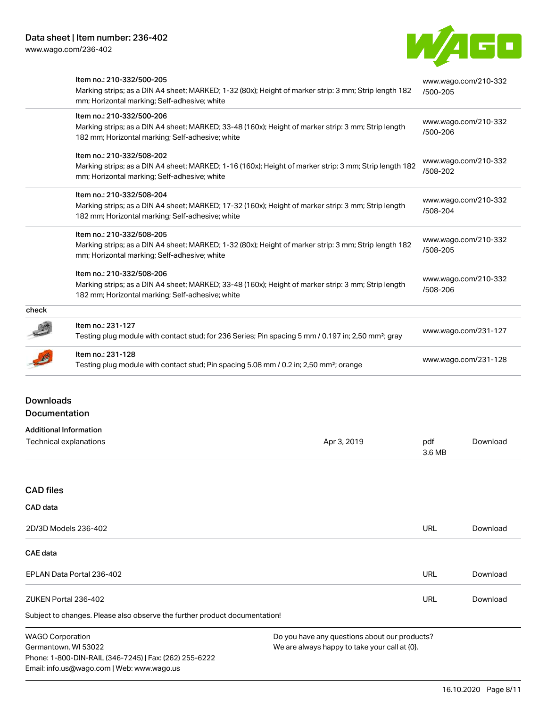Email: info.us@wago.com | Web: www.wago.us

[www.wago.com/236-402](http://www.wago.com/236-402)



|                                   | Item no.: 210-332/500-205<br>Marking strips; as a DIN A4 sheet; MARKED; 1-32 (80x); Height of marker strip: 3 mm; Strip length 182<br>mm; Horizontal marking; Self-adhesive; white   |                                                                                                | /500-205             | www.wago.com/210-332 |
|-----------------------------------|--------------------------------------------------------------------------------------------------------------------------------------------------------------------------------------|------------------------------------------------------------------------------------------------|----------------------|----------------------|
|                                   | Item no.: 210-332/500-206<br>Marking strips; as a DIN A4 sheet; MARKED; 33-48 (160x); Height of marker strip: 3 mm; Strip length<br>182 mm; Horizontal marking; Self-adhesive; white |                                                                                                | /500-206             | www.wago.com/210-332 |
|                                   | Item no.: 210-332/508-202<br>Marking strips; as a DIN A4 sheet; MARKED; 1-16 (160x); Height of marker strip: 3 mm; Strip length 182<br>mm; Horizontal marking; Self-adhesive; white  |                                                                                                | /508-202             | www.wago.com/210-332 |
|                                   | Item no.: 210-332/508-204<br>Marking strips; as a DIN A4 sheet; MARKED; 17-32 (160x); Height of marker strip: 3 mm; Strip length<br>182 mm; Horizontal marking; Self-adhesive; white |                                                                                                | /508-204             | www.wago.com/210-332 |
|                                   | Item no.: 210-332/508-205<br>Marking strips; as a DIN A4 sheet; MARKED; 1-32 (80x); Height of marker strip: 3 mm; Strip length 182<br>mm; Horizontal marking; Self-adhesive; white   |                                                                                                | /508-205             | www.wago.com/210-332 |
|                                   | Item no.: 210-332/508-206<br>Marking strips; as a DIN A4 sheet; MARKED; 33-48 (160x); Height of marker strip: 3 mm; Strip length<br>182 mm; Horizontal marking; Self-adhesive; white |                                                                                                | /508-206             | www.wago.com/210-332 |
| check                             |                                                                                                                                                                                      |                                                                                                |                      |                      |
|                                   | Item no.: 231-127<br>Testing plug module with contact stud; for 236 Series; Pin spacing 5 mm / 0.197 in; 2,50 mm <sup>2</sup> ; gray                                                 |                                                                                                |                      | www.wago.com/231-127 |
|                                   | Item no.: 231-128<br>Testing plug module with contact stud; Pin spacing 5.08 mm / 0.2 in; 2,50 mm <sup>2</sup> ; orange                                                              |                                                                                                | www.wago.com/231-128 |                      |
| <b>Downloads</b><br>Documentation |                                                                                                                                                                                      |                                                                                                |                      |                      |
|                                   | <b>Additional Information</b><br>Technical explanations                                                                                                                              | Apr 3, 2019                                                                                    | pdf<br>3.6 MB        | Download             |
| <b>CAD files</b>                  |                                                                                                                                                                                      |                                                                                                |                      |                      |
| CAD data                          |                                                                                                                                                                                      |                                                                                                |                      |                      |
|                                   | 2D/3D Models 236-402                                                                                                                                                                 |                                                                                                | <b>URL</b>           | Download             |
| <b>CAE</b> data                   |                                                                                                                                                                                      |                                                                                                |                      |                      |
|                                   | EPLAN Data Portal 236-402                                                                                                                                                            |                                                                                                | <b>URL</b>           | Download             |
|                                   | ZUKEN Portal 236-402                                                                                                                                                                 |                                                                                                | <b>URL</b>           | Download             |
|                                   | Subject to changes. Please also observe the further product documentation!                                                                                                           |                                                                                                |                      |                      |
| <b>WAGO Corporation</b>           | Germantown, WI 53022<br>Phone: 1-800-DIN-RAIL (346-7245)   Fax: (262) 255-6222                                                                                                       | Do you have any questions about our products?<br>We are always happy to take your call at {0}. |                      |                      |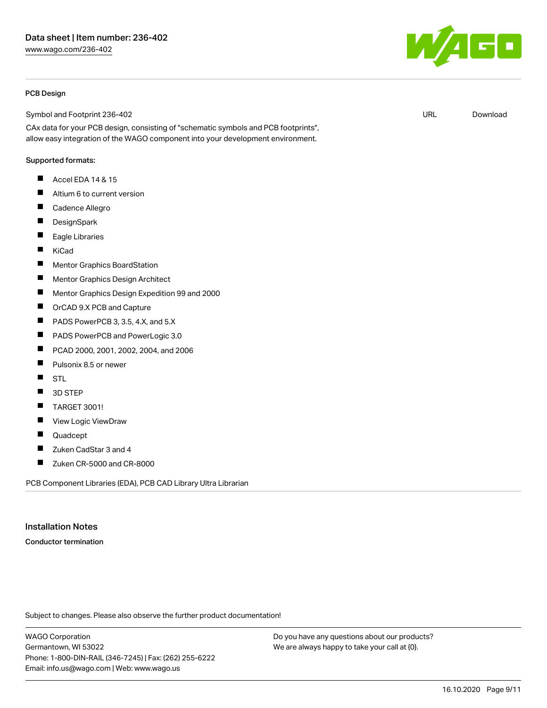#### PCB Design

Symbol and Footprint 236-402

CAx data for your PCB design, consisting of "schematic symbols and PCB footprints", allow easy integration of the WAGO component into your development environment.

#### Supported formats:

- $\blacksquare$ Accel EDA 14 & 15
- $\blacksquare$ Altium 6 to current version
- $\blacksquare$ Cadence Allegro
- $\blacksquare$ **DesignSpark**
- $\blacksquare$ Eagle Libraries
- $\blacksquare$ KiCad
- $\blacksquare$ Mentor Graphics BoardStation
- $\blacksquare$ Mentor Graphics Design Architect
- $\blacksquare$ Mentor Graphics Design Expedition 99 and 2000
- $\blacksquare$ OrCAD 9.X PCB and Capture
- $\blacksquare$ PADS PowerPCB 3, 3.5, 4.X, and 5.X
- П PADS PowerPCB and PowerLogic 3.0
- $\blacksquare$ PCAD 2000, 2001, 2002, 2004, and 2006
- $\blacksquare$ Pulsonix 8.5 or newer
- $\blacksquare$ STL
- $\blacksquare$ 3D STEP
- $\blacksquare$ TARGET 3001!
- $\blacksquare$ View Logic ViewDraw
- П Quadcept
- $\blacksquare$ Zuken CadStar 3 and 4
- $\blacksquare$ Zuken CR-5000 and CR-8000

PCB Component Libraries (EDA), PCB CAD Library Ultra Librarian

#### Installation Notes

Conductor termination

Subject to changes. Please also observe the further product documentation!

WAGO Corporation Germantown, WI 53022 Phone: 1-800-DIN-RAIL (346-7245) | Fax: (262) 255-6222 Email: info.us@wago.com | Web: www.wago.us

Do you have any questions about our products? We are always happy to take your call at {0}.

 $F_{\parallel}$ ZUKEN Portal 236-402 URL [Download](https://www.wago.com/us/d/Zuken_URLS_236-402)

URL [Download](https://www.wago.com/us/d/UltraLibrarian_URLS_236-402)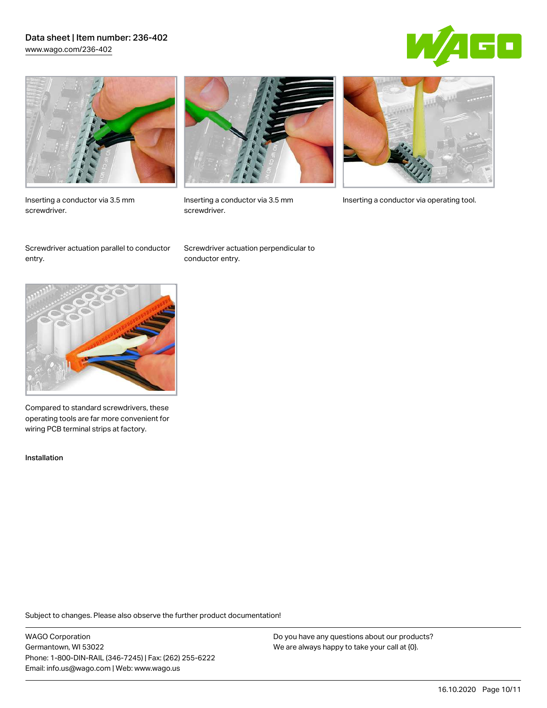## Data sheet | Item number: 236-402 [www.wago.com/236-402](http://www.wago.com/236-402)





Inserting a conductor via 3.5 mm screwdriver.



screwdriver.

Inserting a conductor via 3.5 mm Inserting a conductor via operating tool.

Screwdriver actuation parallel to conductor entry.

Screwdriver actuation perpendicular to conductor entry.



Compared to standard screwdrivers, these operating tools are far more convenient for wiring PCB terminal strips at factory.

Installation

Subject to changes. Please also observe the further product documentation!

WAGO Corporation Germantown, WI 53022 Phone: 1-800-DIN-RAIL (346-7245) | Fax: (262) 255-6222 Email: info.us@wago.com | Web: www.wago.us